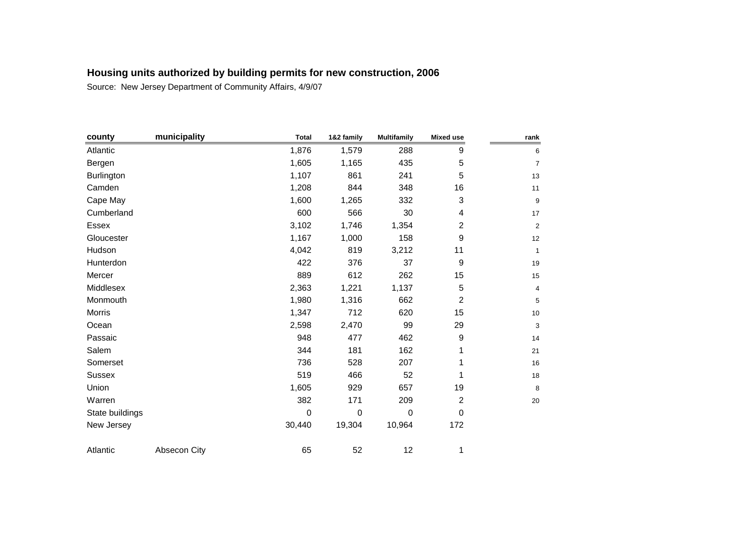| county          | municipality | <b>Total</b> | 1&2 family | <b>Multifamily</b> | <b>Mixed use</b> | rank             |
|-----------------|--------------|--------------|------------|--------------------|------------------|------------------|
| Atlantic        |              | 1,876        | 1,579      | 288                | 9                | 6                |
| Bergen          |              | 1,605        | 1,165      | 435                | 5                | $\overline{7}$   |
| Burlington      |              | 1,107        | 861        | 241                | 5                | $13$             |
| Camden          |              | 1,208        | 844        | 348                | 16               | 11               |
| Cape May        |              | 1,600        | 1,265      | 332                | 3                | $\boldsymbol{9}$ |
| Cumberland      |              | 600          | 566        | 30                 | 4                | 17               |
| Essex           |              | 3,102        | 1,746      | 1,354              | $\overline{c}$   | $\mathbf 2$      |
| Gloucester      |              | 1,167        | 1,000      | 158                | 9                | 12               |
| Hudson          |              | 4,042        | 819        | 3,212              | 11               | $\mathbf{1}$     |
| Hunterdon       |              | 422          | 376        | 37                 | 9                | 19               |
| Mercer          |              | 889          | 612        | 262                | 15               | 15               |
| Middlesex       |              | 2,363        | 1,221      | 1,137              | $\sqrt{5}$       | 4                |
| Monmouth        |              | 1,980        | 1,316      | 662                | $\overline{c}$   | 5                |
| Morris          |              | 1,347        | 712        | 620                | 15               | $10$             |
| Ocean           |              | 2,598        | 2,470      | 99                 | 29               | 3                |
| Passaic         |              | 948          | 477        | 462                | 9                | 14               |
| Salem           |              | 344          | 181        | 162                | 1                | 21               |
| Somerset        |              | 736          | 528        | 207                | 1                | 16               |
| <b>Sussex</b>   |              | 519          | 466        | 52                 | 1                | 18               |
| Union           |              | 1,605        | 929        | 657                | 19               | 8                |
| Warren          |              | 382          | 171        | 209                | $\overline{2}$   | 20               |
| State buildings |              | $\mathbf 0$  | 0          | $\mathbf 0$        | 0                |                  |
| New Jersey      |              | 30,440       | 19,304     | 10,964             | 172              |                  |
| Atlantic        | Absecon City | 65           | 52         | 12                 | 1                |                  |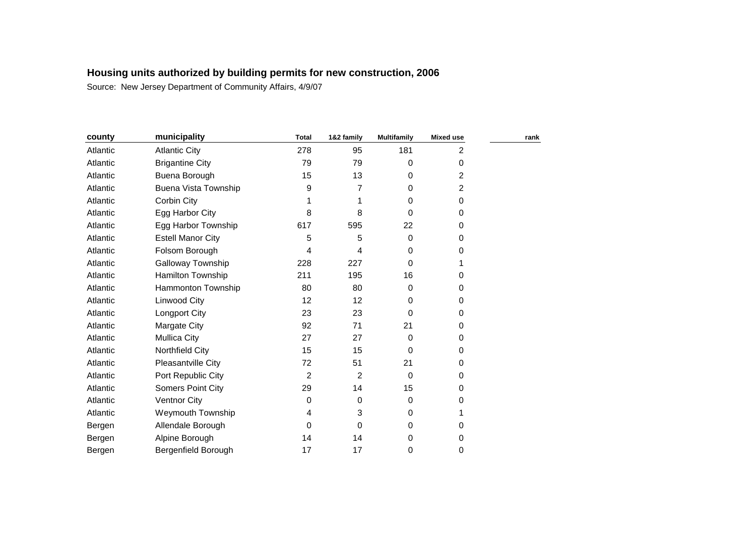| county   | municipality             | <b>Total</b>   | 1&2 family | <b>Multifamily</b> | <b>Mixed use</b> | rank |
|----------|--------------------------|----------------|------------|--------------------|------------------|------|
| Atlantic | <b>Atlantic City</b>     | 278            | 95         | 181                | $\overline{2}$   |      |
| Atlantic | <b>Brigantine City</b>   | 79             | 79         | 0                  | 0                |      |
| Atlantic | Buena Borough            | 15             | 13         | 0                  | 2                |      |
| Atlantic | Buena Vista Township     | 9              | 7          | 0                  | 2                |      |
| Atlantic | Corbin City              |                | 1          | 0                  | 0                |      |
| Atlantic | Egg Harbor City          | 8              | 8          | $\Omega$           | 0                |      |
| Atlantic | Egg Harbor Township      | 617            | 595        | 22                 | 0                |      |
| Atlantic | <b>Estell Manor City</b> | 5              | 5          | $\mathbf 0$        | 0                |      |
| Atlantic | Folsom Borough           | 4              | 4          | 0                  | 0                |      |
| Atlantic | Galloway Township        | 228            | 227        | 0                  |                  |      |
| Atlantic | Hamilton Township        | 211            | 195        | 16                 | 0                |      |
| Atlantic | Hammonton Township       | 80             | 80         | 0                  | 0                |      |
| Atlantic | Linwood City             | 12             | 12         | 0                  | 0                |      |
| Atlantic | Longport City            | 23             | 23         | 0                  | 0                |      |
| Atlantic | Margate City             | 92             | 71         | 21                 | 0                |      |
| Atlantic | <b>Mullica City</b>      | 27             | 27         | 0                  | 0                |      |
| Atlantic | Northfield City          | 15             | 15         | $\Omega$           | 0                |      |
| Atlantic | Pleasantville City       | 72             | 51         | 21                 | 0                |      |
| Atlantic | Port Republic City       | $\overline{c}$ | 2          | $\mathbf 0$        | 0                |      |
| Atlantic | Somers Point City        | 29             | 14         | 15                 | 0                |      |
| Atlantic | <b>Ventnor City</b>      | 0              | 0          | 0                  | 0                |      |
| Atlantic | <b>Weymouth Township</b> | 4              | 3          | 0                  | 1                |      |
| Bergen   | Allendale Borough        | 0              | 0          | 0                  | 0                |      |
| Bergen   | Alpine Borough           | 14             | 14         | 0                  | 0                |      |
| Bergen   | Bergenfield Borough      | 17             | 17         | 0                  | 0                |      |
|          |                          |                |            |                    |                  |      |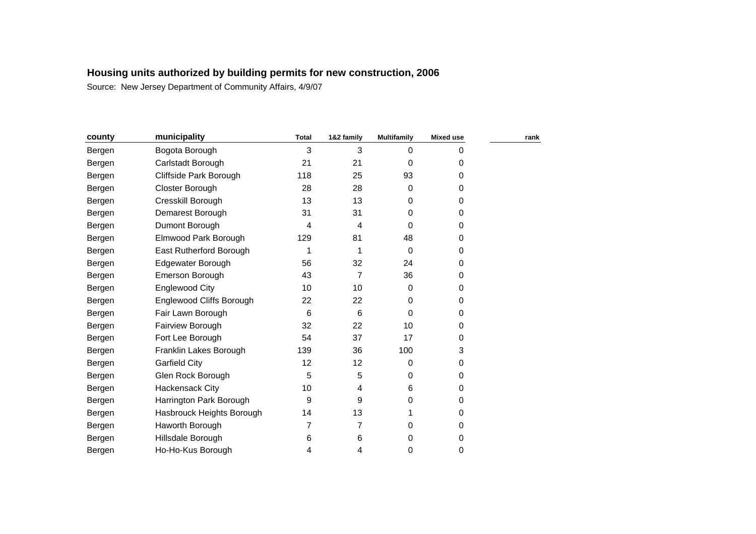| county | municipality              | <b>Total</b> | 1&2 family | <b>Multifamily</b> | <b>Mixed use</b> | rank |
|--------|---------------------------|--------------|------------|--------------------|------------------|------|
| Bergen | Bogota Borough            | 3            | 3          | $\mathbf 0$        | 0                |      |
| Bergen | Carlstadt Borough         | 21           | 21         | 0                  | 0                |      |
| Bergen | Cliffside Park Borough    | 118          | 25         | 93                 | 0                |      |
| Bergen | Closter Borough           | 28           | 28         | 0                  | 0                |      |
| Bergen | Cresskill Borough         | 13           | 13         | 0                  | 0                |      |
| Bergen | Demarest Borough          | 31           | 31         | 0                  | 0                |      |
| Bergen | Dumont Borough            | 4            | 4          | 0                  | 0                |      |
| Bergen | Elmwood Park Borough      | 129          | 81         | 48                 | 0                |      |
| Bergen | East Rutherford Borough   | 1            | 1          | 0                  | 0                |      |
| Bergen | Edgewater Borough         | 56           | 32         | 24                 | 0                |      |
| Bergen | Emerson Borough           | 43           | 7          | 36                 | 0                |      |
| Bergen | Englewood City            | 10           | 10         | 0                  | 0                |      |
| Bergen | Englewood Cliffs Borough  | 22           | 22         | 0                  | 0                |      |
| Bergen | Fair Lawn Borough         | 6            | 6          | 0                  | 0                |      |
| Bergen | Fairview Borough          | 32           | 22         | 10                 | 0                |      |
| Bergen | Fort Lee Borough          | 54           | 37         | 17                 | 0                |      |
| Bergen | Franklin Lakes Borough    | 139          | 36         | 100                | 3                |      |
| Bergen | <b>Garfield City</b>      | 12           | 12         | 0                  | 0                |      |
| Bergen | Glen Rock Borough         | 5            | 5          | 0                  | 0                |      |
| Bergen | Hackensack City           | 10           | 4          | 6                  | 0                |      |
| Bergen | Harrington Park Borough   | 9            | 9          | 0                  | 0                |      |
| Bergen | Hasbrouck Heights Borough | 14           | 13         |                    | 0                |      |
| Bergen | Haworth Borough           | 7            | 7          | 0                  | 0                |      |
| Bergen | Hillsdale Borough         | 6            | 6          | 0                  | 0                |      |
| Bergen | Ho-Ho-Kus Borough         | 4            | 4          | 0                  | 0                |      |
|        |                           |              |            |                    |                  |      |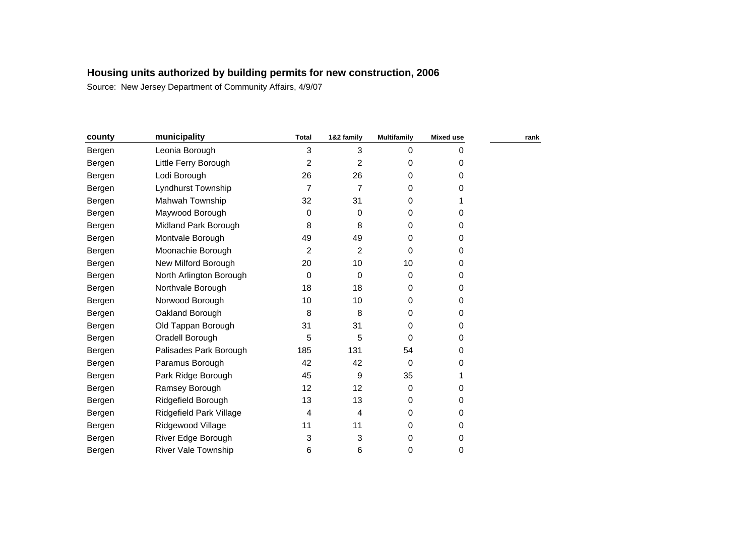| county | municipality               | <b>Total</b>   | 1&2 family     | <b>Multifamily</b> | Mixed use | rank |
|--------|----------------------------|----------------|----------------|--------------------|-----------|------|
| Bergen | Leonia Borough             | 3              | 3              | 0                  | 0         |      |
| Bergen | Little Ferry Borough       | $\overline{c}$ | $\overline{2}$ | 0                  | 0         |      |
| Bergen | Lodi Borough               | 26             | 26             | $\Omega$           | 0         |      |
| Bergen | Lyndhurst Township         | 7              | 7              | 0                  | 0         |      |
| Bergen | Mahwah Township            | 32             | 31             | 0                  |           |      |
| Bergen | Maywood Borough            | 0              | 0              | 0                  | 0         |      |
| Bergen | Midland Park Borough       | 8              | 8              | $\Omega$           | 0         |      |
| Bergen | Montvale Borough           | 49             | 49             | 0                  | 0         |      |
| Bergen | Moonachie Borough          | $\overline{2}$ | 2              | $\Omega$           | 0         |      |
| Bergen | New Milford Borough        | 20             | 10             | 10                 | 0         |      |
| Bergen | North Arlington Borough    | 0              | 0              | $\mathbf 0$        | 0         |      |
| Bergen | Northvale Borough          | 18             | 18             | 0                  | 0         |      |
| Bergen | Norwood Borough            | 10             | 10             | $\Omega$           | 0         |      |
| Bergen | Oakland Borough            | 8              | 8              | $\Omega$           | 0         |      |
| Bergen | Old Tappan Borough         | 31             | 31             | 0                  | 0         |      |
| Bergen | Oradell Borough            | 5              | 5              | $\Omega$           | 0         |      |
| Bergen | Palisades Park Borough     | 185            | 131            | 54                 | 0         |      |
| Bergen | Paramus Borough            | 42             | 42             | $\Omega$           | 0         |      |
| Bergen | Park Ridge Borough         | 45             | 9              | 35                 |           |      |
| Bergen | Ramsey Borough             | 12             | 12             | $\Omega$           | 0         |      |
| Bergen | Ridgefield Borough         | 13             | 13             | 0                  | 0         |      |
| Bergen | Ridgefield Park Village    | 4              | 4              | 0                  | 0         |      |
| Bergen | Ridgewood Village          | 11             | 11             | 0                  | 0         |      |
| Bergen | River Edge Borough         | 3              | 3              | 0                  | 0         |      |
| Bergen | <b>River Vale Township</b> | 6              | 6              | 0                  | 0         |      |
|        |                            |                |                |                    |           |      |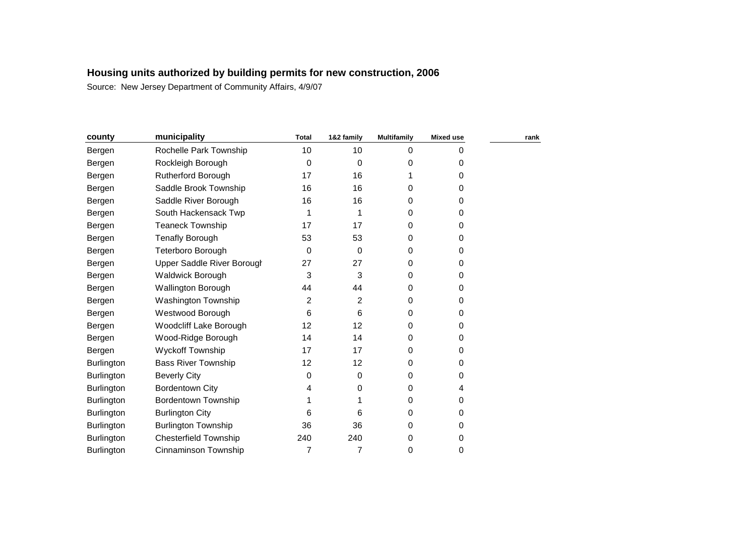| county            | municipality                      | <b>Total</b> | 1&2 family | <b>Multifamily</b> | <b>Mixed use</b> | rank |
|-------------------|-----------------------------------|--------------|------------|--------------------|------------------|------|
| Bergen            | Rochelle Park Township            | 10           | 10         | $\mathbf 0$        | 0                |      |
| Bergen            | Rockleigh Borough                 | 0            | 0          | 0                  | 0                |      |
| Bergen            | <b>Rutherford Borough</b>         | 17           | 16         |                    | 0                |      |
| Bergen            | Saddle Brook Township             | 16           | 16         | 0                  | 0                |      |
| Bergen            | Saddle River Borough              | 16           | 16         | 0                  | 0                |      |
| Bergen            | South Hackensack Twp              |              | 1          | 0                  | 0                |      |
| Bergen            | <b>Teaneck Township</b>           | 17           | 17         | 0                  | 0                |      |
| Bergen            | <b>Tenafly Borough</b>            | 53           | 53         | 0                  | 0                |      |
| Bergen            | Teterboro Borough                 | 0            | 0          | 0                  | 0                |      |
| Bergen            | <b>Upper Saddle River Borough</b> | 27           | 27         | 0                  | 0                |      |
| Bergen            | <b>Waldwick Borough</b>           | 3            | 3          | 0                  | 0                |      |
| Bergen            | Wallington Borough                | 44           | 44         | 0                  | 0                |      |
| Bergen            | Washington Township               | 2            | 2          | 0                  | 0                |      |
| Bergen            | Westwood Borough                  | 6            | 6          | 0                  | 0                |      |
| Bergen            | Woodcliff Lake Borough            | 12           | 12         | 0                  | 0                |      |
| Bergen            | Wood-Ridge Borough                | 14           | 14         | 0                  | 0                |      |
| Bergen            | Wyckoff Township                  | 17           | 17         | 0                  | 0                |      |
| <b>Burlington</b> | <b>Bass River Township</b>        | 12           | 12         | 0                  | 0                |      |
| <b>Burlington</b> | <b>Beverly City</b>               | 0            | 0          | 0                  | 0                |      |
| <b>Burlington</b> | <b>Bordentown City</b>            | 4            | 0          | 0                  | 4                |      |
| <b>Burlington</b> | <b>Bordentown Township</b>        |              |            | 0                  | 0                |      |
| Burlington        | <b>Burlington City</b>            | 6            | 6          | 0                  | 0                |      |
| <b>Burlington</b> | <b>Burlington Township</b>        | 36           | 36         | 0                  | 0                |      |
| Burlington        | <b>Chesterfield Township</b>      | 240          | 240        | 0                  | 0                |      |
| Burlington        | Cinnaminson Township              | 7            | 7          | 0                  | 0                |      |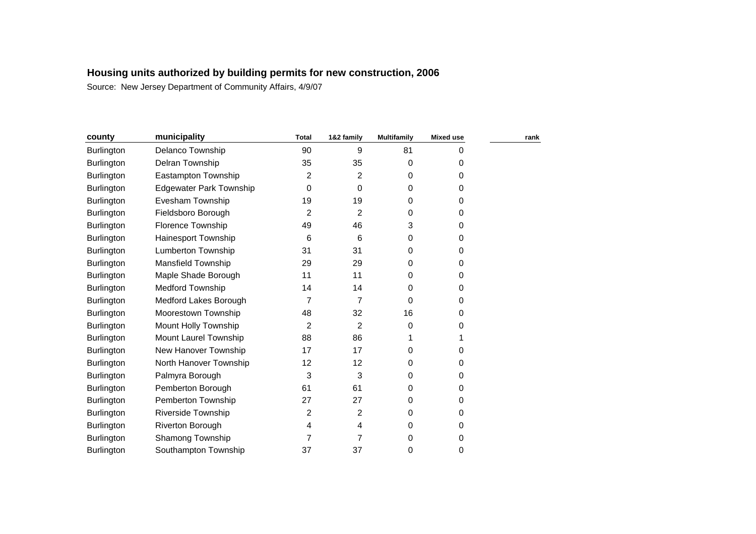| municipality                   | <b>Total</b> | 1&2 family     | <b>Multifamily</b> | <b>Mixed use</b> | rank |
|--------------------------------|--------------|----------------|--------------------|------------------|------|
| Delanco Township               | 90           | 9              | 81                 | 0                |      |
| Delran Township                | 35           | 35             | 0                  | 0                |      |
| Eastampton Township            | 2            | $\overline{2}$ | 0                  | 0                |      |
| <b>Edgewater Park Township</b> | 0            | 0              | 0                  | 0                |      |
| Evesham Township               | 19           | 19             | 0                  | 0                |      |
| Fieldsboro Borough             | 2            | 2              | 0                  | $\Omega$         |      |
| <b>Florence Township</b>       | 49           | 46             | 3                  | 0                |      |
| Hainesport Township            | 6            | 6              | 0                  | 0                |      |
| Lumberton Township             | 31           | 31             | 0                  | 0                |      |
| Mansfield Township             | 29           | 29             | 0                  | 0                |      |
| Maple Shade Borough            | 11           | 11             | 0                  | 0                |      |
| <b>Medford Township</b>        | 14           | 14             | 0                  | 0                |      |
| Medford Lakes Borough          | 7            | $\overline{7}$ | $\Omega$           | 0                |      |
| Moorestown Township            | 48           | 32             | 16                 | 0                |      |
| Mount Holly Township           | 2            | 2              | 0                  | 0                |      |
| Mount Laurel Township          | 88           | 86             |                    |                  |      |
| New Hanover Township           | 17           | 17             | 0                  | 0                |      |
| North Hanover Township         | 12           | 12             | 0                  | 0                |      |
| Palmyra Borough                | 3            | 3              | 0                  | 0                |      |
| Pemberton Borough              | 61           | 61             | 0                  | 0                |      |
| Pemberton Township             | 27           | 27             | 0                  | 0                |      |
| <b>Riverside Township</b>      | 2            | 2              | 0                  | 0                |      |
| Riverton Borough               | 4            | 4              | 0                  | 0                |      |
| Shamong Township               | 7            | 7              | 0                  | 0                |      |
| Southampton Township           | 37           | 37             | 0                  | 0                |      |
|                                |              |                |                    |                  |      |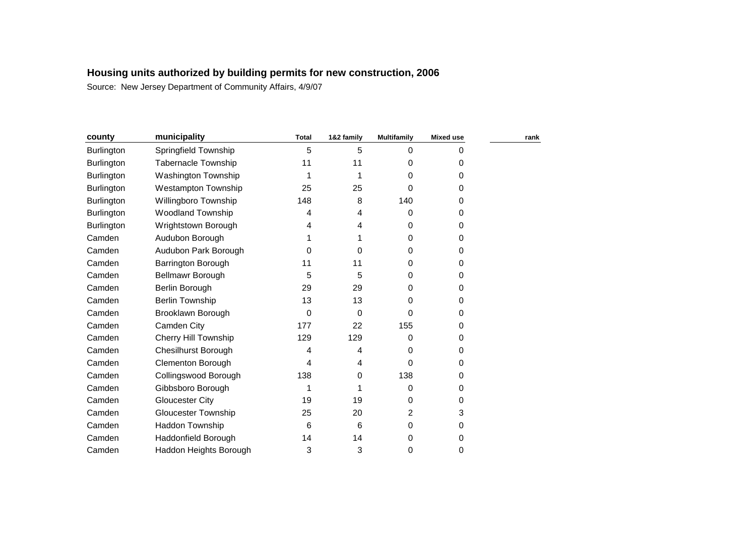| county            | municipality                | <b>Total</b> | 1&2 family | <b>Multifamily</b> | <b>Mixed use</b> | rank |
|-------------------|-----------------------------|--------------|------------|--------------------|------------------|------|
| <b>Burlington</b> | Springfield Township        | 5            | 5          | 0                  | 0                |      |
| <b>Burlington</b> | <b>Tabernacle Township</b>  | 11           | 11         | 0                  | 0                |      |
| <b>Burlington</b> | Washington Township         |              |            | 0                  | 0                |      |
| <b>Burlington</b> | <b>Westampton Township</b>  | 25           | 25         | 0                  | 0                |      |
| <b>Burlington</b> | Willingboro Township        | 148          | 8          | 140                | 0                |      |
| Burlington        | <b>Woodland Township</b>    | 4            | 4          | 0                  | 0                |      |
| <b>Burlington</b> | Wrightstown Borough         | 4            | 4          | 0                  | 0                |      |
| Camden            | Audubon Borough             |              |            | 0                  | 0                |      |
| Camden            | Audubon Park Borough        | 0            | 0          | 0                  | 0                |      |
| Camden            | Barrington Borough          | 11           | 11         | 0                  | 0                |      |
| Camden            | <b>Bellmawr Borough</b>     | 5            | 5          | 0                  | 0                |      |
| Camden            | Berlin Borough              | 29           | 29         | 0                  | 0                |      |
| Camden            | <b>Berlin Township</b>      | 13           | 13         | 0                  | 0                |      |
| Camden            | Brooklawn Borough           | 0            | 0          | 0                  | 0                |      |
| Camden            | Camden City                 | 177          | 22         | 155                | 0                |      |
| Camden            | <b>Cherry Hill Township</b> | 129          | 129        | 0                  | 0                |      |
| Camden            | <b>Chesilhurst Borough</b>  | 4            | 4          | 0                  | 0                |      |
| Camden            | Clementon Borough           | 4            | 4          | 0                  | 0                |      |
| Camden            | Collingswood Borough        | 138          | 0          | 138                | 0                |      |
| Camden            | Gibbsboro Borough           |              |            | 0                  | 0                |      |
| Camden            | <b>Gloucester City</b>      | 19           | 19         | 0                  | 0                |      |
| Camden            | <b>Gloucester Township</b>  | 25           | 20         | 2                  | 3                |      |
| Camden            | Haddon Township             | 6            | 6          | 0                  | 0                |      |
| Camden            | Haddonfield Borough         | 14           | 14         | 0                  | 0                |      |
| Camden            | Haddon Heights Borough      | 3            | 3          | 0                  | 0                |      |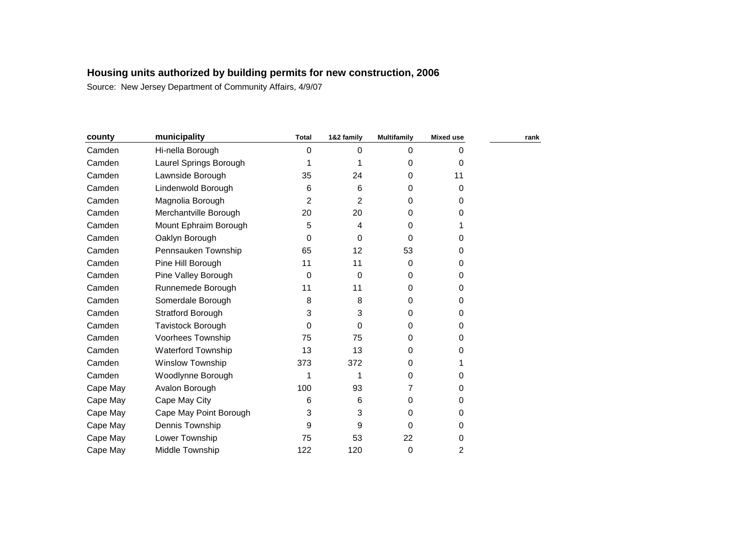| county   | municipality            | <b>Total</b>   | 1&2 family | <b>Multifamily</b> | <b>Mixed use</b> | rank |
|----------|-------------------------|----------------|------------|--------------------|------------------|------|
| Camden   | Hi-nella Borough        | 0              | 0          | $\mathbf 0$        | 0                |      |
| Camden   | Laurel Springs Borough  |                |            | 0                  | 0                |      |
| Camden   | Lawnside Borough        | 35             | 24         | 0                  | 11               |      |
| Camden   | Lindenwold Borough      | 6              | 6          | 0                  | 0                |      |
| Camden   | Magnolia Borough        | $\overline{2}$ | 2          | 0                  | 0                |      |
| Camden   | Merchantville Borough   | 20             | 20         | 0                  | 0                |      |
| Camden   | Mount Ephraim Borough   | 5              | 4          | 0                  |                  |      |
| Camden   | Oaklyn Borough          | 0              | 0          | 0                  | O                |      |
| Camden   | Pennsauken Township     | 65             | 12         | 53                 | 0                |      |
| Camden   | Pine Hill Borough       | 11             | 11         | 0                  | 0                |      |
| Camden   | Pine Valley Borough     | 0              | 0          | 0                  | 0                |      |
| Camden   | Runnemede Borough       | 11             | 11         | 0                  | 0                |      |
| Camden   | Somerdale Borough       | 8              | 8          | 0                  | 0                |      |
| Camden   | Stratford Borough       | 3              | 3          | 0                  | 0                |      |
| Camden   | Tavistock Borough       | 0              | 0          | 0                  | 0                |      |
| Camden   | Voorhees Township       | 75             | 75         | 0                  | 0                |      |
| Camden   | Waterford Township      | 13             | 13         | 0                  | 0                |      |
| Camden   | <b>Winslow Township</b> | 373            | 372        | 0                  |                  |      |
| Camden   | Woodlynne Borough       |                |            | 0                  | 0                |      |
| Cape May | Avalon Borough          | 100            | 93         | 7                  | 0                |      |
| Cape May | Cape May City           | 6              | 6          | 0                  | 0                |      |
| Cape May | Cape May Point Borough  | 3              | 3          | 0                  | 0                |      |
| Cape May | Dennis Township         | 9              | 9          | 0                  | 0                |      |
| Cape May | Lower Township          | 75             | 53         | 22                 | 0                |      |
| Cape May | Middle Township         | 122            | 120        | 0                  | 2                |      |
|          |                         |                |            |                    |                  |      |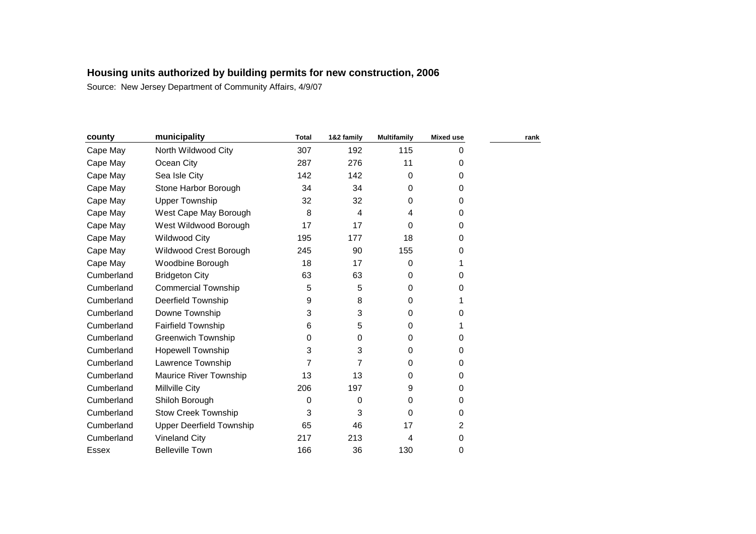| county     | municipality                    | <b>Total</b> | 1&2 family | <b>Multifamily</b> | <b>Mixed use</b> | rank |
|------------|---------------------------------|--------------|------------|--------------------|------------------|------|
| Cape May   | North Wildwood City             | 307          | 192        | 115                | 0                |      |
| Cape May   | Ocean City                      | 287          | 276        | 11                 | 0                |      |
| Cape May   | Sea Isle City                   | 142          | 142        | 0                  | 0                |      |
| Cape May   | Stone Harbor Borough            | 34           | 34         | 0                  | 0                |      |
| Cape May   | <b>Upper Township</b>           | 32           | 32         | 0                  | 0                |      |
| Cape May   | West Cape May Borough           | 8            | 4          | 4                  | 0                |      |
| Cape May   | West Wildwood Borough           | 17           | 17         | 0                  | 0                |      |
| Cape May   | <b>Wildwood City</b>            | 195          | 177        | 18                 | 0                |      |
| Cape May   | Wildwood Crest Borough          | 245          | 90         | 155                | 0                |      |
| Cape May   | Woodbine Borough                | 18           | 17         | 0                  |                  |      |
| Cumberland | <b>Bridgeton City</b>           | 63           | 63         | 0                  | 0                |      |
| Cumberland | <b>Commercial Township</b>      | 5            | 5          | 0                  | 0                |      |
| Cumberland | Deerfield Township              | 9            | 8          | 0                  | 1                |      |
| Cumberland | Downe Township                  | 3            | 3          | 0                  | 0                |      |
| Cumberland | <b>Fairfield Township</b>       | 6            | 5          | 0                  | 1                |      |
| Cumberland | <b>Greenwich Township</b>       | 0            | 0          | 0                  | 0                |      |
| Cumberland | <b>Hopewell Township</b>        | 3            | 3          | 0                  | 0                |      |
| Cumberland | Lawrence Township               | 7            | 7          | 0                  | 0                |      |
| Cumberland | Maurice River Township          | 13           | 13         | 0                  | 0                |      |
| Cumberland | Millville City                  | 206          | 197        | 9                  | 0                |      |
| Cumberland | Shiloh Borough                  | 0            | 0          | 0                  | 0                |      |
| Cumberland | <b>Stow Creek Township</b>      | 3            | 3          | $\Omega$           | 0                |      |
| Cumberland | <b>Upper Deerfield Township</b> | 65           | 46         | 17                 | 2                |      |
| Cumberland | <b>Vineland City</b>            | 217          | 213        | 4                  | 0                |      |
| Essex      | <b>Belleville Town</b>          | 166          | 36         | 130                | 0                |      |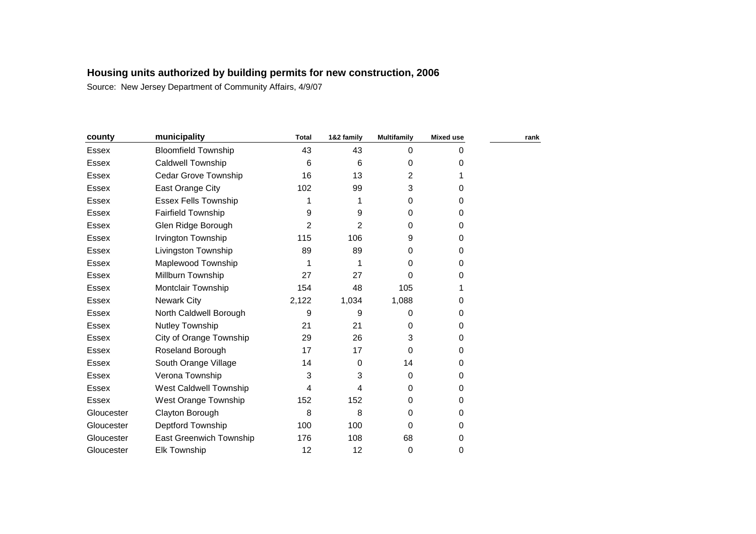| county       | municipality                | <b>Total</b> | 1&2 family | <b>Multifamily</b> | <b>Mixed use</b> | rank |
|--------------|-----------------------------|--------------|------------|--------------------|------------------|------|
| <b>Essex</b> | <b>Bloomfield Township</b>  | 43           | 43         | $\Omega$           | 0                |      |
| <b>Essex</b> | <b>Caldwell Township</b>    | 6            | 6          | 0                  | 0                |      |
| Essex        | Cedar Grove Township        | 16           | 13         | 2                  |                  |      |
| <b>Essex</b> | East Orange City            | 102          | 99         | 3                  | 0                |      |
| Essex        | <b>Essex Fells Township</b> | 1            | 1          | 0                  | 0                |      |
| <b>Essex</b> | <b>Fairfield Township</b>   | 9            | 9          | 0                  | 0                |      |
| Essex        | Glen Ridge Borough          | 2            | 2          | 0                  | 0                |      |
| Essex        | Irvington Township          | 115          | 106        | 9                  | 0                |      |
| Essex        | Livingston Township         | 89           | 89         | 0                  | $\Omega$         |      |
| <b>Essex</b> | Maplewood Township          | 1            | 1          | 0                  | 0                |      |
| Essex        | Millburn Township           | 27           | 27         | 0                  | 0                |      |
| <b>Essex</b> | Montclair Township          | 154          | 48         | 105                |                  |      |
| <b>Essex</b> | <b>Newark City</b>          | 2,122        | 1,034      | 1,088              | 0                |      |
| <b>Essex</b> | North Caldwell Borough      | 9            | 9          | 0                  | 0                |      |
| Essex        | Nutley Township             | 21           | 21         | 0                  | 0                |      |
| Essex        | City of Orange Township     | 29           | 26         | 3                  | 0                |      |
| Essex        | Roseland Borough            | 17           | 17         | $\Omega$           | 0                |      |
| Essex        | South Orange Village        | 14           | $\Omega$   | 14                 | $\Omega$         |      |
| Essex        | Verona Township             | 3            | 3          | $\Omega$           | $\Omega$         |      |
| <b>Essex</b> | West Caldwell Township      | 4            | 4          | 0                  | 0                |      |
| <b>Essex</b> | West Orange Township        | 152          | 152        | 0                  | 0                |      |
| Gloucester   | Clayton Borough             | 8            | 8          | 0                  | 0                |      |
| Gloucester   | Deptford Township           | 100          | 100        | 0                  | 0                |      |
| Gloucester   | East Greenwich Township     | 176          | 108        | 68                 | 0                |      |
| Gloucester   | <b>Elk Township</b>         | 12           | 12         | 0                  | 0                |      |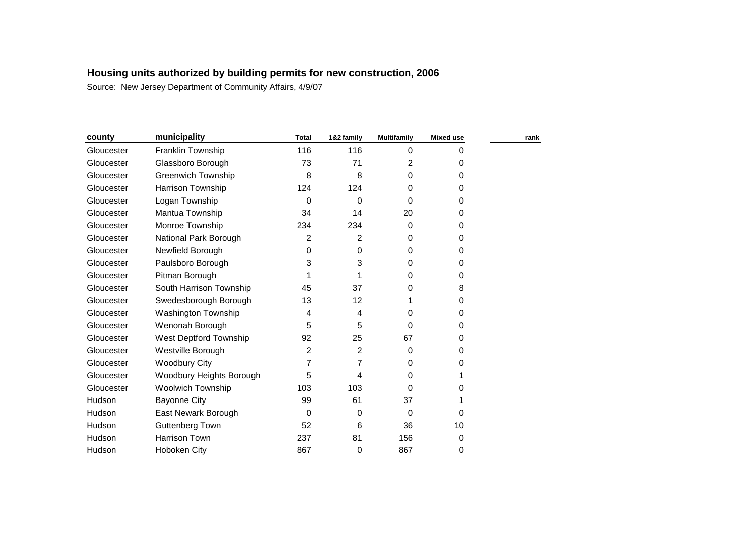| county     | municipality             | <b>Total</b>   | 1&2 family | <b>Multifamily</b> | <b>Mixed use</b> | rank |
|------------|--------------------------|----------------|------------|--------------------|------------------|------|
| Gloucester | Franklin Township        | 116            | 116        | 0                  | 0                |      |
| Gloucester | Glassboro Borough        | 73             | 71         | 2                  | 0                |      |
| Gloucester | Greenwich Township       | 8              | 8          | 0                  | 0                |      |
| Gloucester | Harrison Township        | 124            | 124        | 0                  | 0                |      |
| Gloucester | Logan Township           | $\Omega$       | 0          | 0                  | 0                |      |
| Gloucester | Mantua Township          | 34             | 14         | 20                 | 0                |      |
| Gloucester | Monroe Township          | 234            | 234        | 0                  | 0                |      |
| Gloucester | National Park Borough    | 2              | 2          | $\Omega$           | 0                |      |
| Gloucester | Newfield Borough         | 0              | 0          | $\Omega$           | 0                |      |
| Gloucester | Paulsboro Borough        | 3              | 3          | $\Omega$           | 0                |      |
| Gloucester | Pitman Borough           |                |            | $\Omega$           | 0                |      |
| Gloucester | South Harrison Township  | 45             | 37         | 0                  | 8                |      |
| Gloucester | Swedesborough Borough    | 13             | 12         |                    | 0                |      |
| Gloucester | Washington Township      | 4              | 4          | 0                  | 0                |      |
| Gloucester | Wenonah Borough          | 5              | 5          | 0                  | 0                |      |
| Gloucester | West Deptford Township   | 92             | 25         | 67                 | 0                |      |
| Gloucester | Westville Borough        | $\overline{2}$ | 2          | 0                  | 0                |      |
| Gloucester | <b>Woodbury City</b>     | 7              | 7          | $\Omega$           | 0                |      |
| Gloucester | Woodbury Heights Borough | 5              | 4          | 0                  |                  |      |
| Gloucester | <b>Woolwich Township</b> | 103            | 103        | 0                  | 0                |      |
| Hudson     | <b>Bayonne City</b>      | 99             | 61         | 37                 |                  |      |
| Hudson     | East Newark Borough      | $\Omega$       | 0          | 0                  | 0                |      |
| Hudson     | Guttenberg Town          | 52             | 6          | 36                 | 10               |      |
| Hudson     | Harrison Town            | 237            | 81         | 156                | 0                |      |
| Hudson     | Hoboken City             | 867            | 0          | 867                | 0                |      |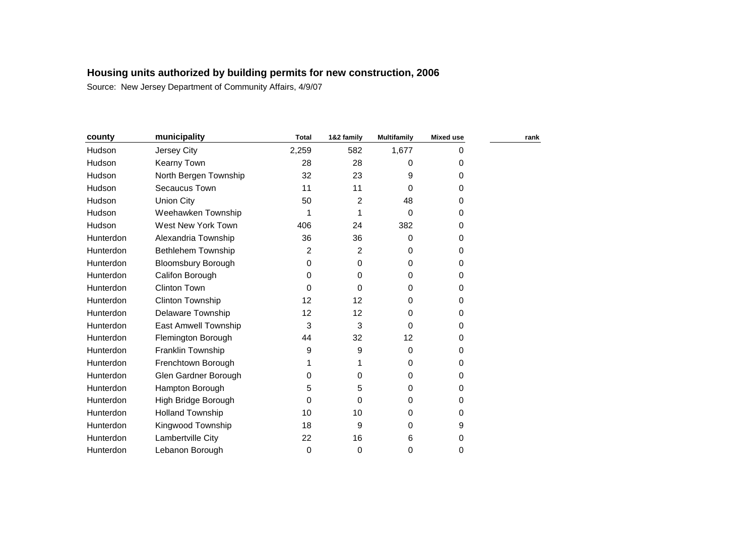| county        | municipality                | <b>Total</b> | 1&2 family | <b>Multifamily</b> | <b>Mixed use</b> | rank |
|---------------|-----------------------------|--------------|------------|--------------------|------------------|------|
| <b>Hudson</b> | Jersey City                 | 2,259        | 582        | 1,677              | 0                |      |
| Hudson        | Kearny Town                 | 28           | 28         | 0                  | 0                |      |
| Hudson        | North Bergen Township       | 32           | 23         | 9                  | 0                |      |
| Hudson        | Secaucus Town               | 11           | 11         | 0                  | $\Omega$         |      |
| Hudson        | <b>Union City</b>           | 50           | 2          | 48                 | 0                |      |
| <b>Hudson</b> | Weehawken Township          |              | 1          | 0                  | 0                |      |
| Hudson        | West New York Town          | 406          | 24         | 382                | 0                |      |
| Hunterdon     | Alexandria Township         | 36           | 36         | 0                  | 0                |      |
| Hunterdon     | <b>Bethlehem Township</b>   | 2            | 2          | 0                  | 0                |      |
| Hunterdon     | <b>Bloomsbury Borough</b>   | 0            | 0          | 0                  | 0                |      |
| Hunterdon     | Califon Borough             | 0            | 0          | 0                  | 0                |      |
| Hunterdon     | <b>Clinton Town</b>         | 0            | 0          | 0                  | 0                |      |
| Hunterdon     | Clinton Township            | 12           | 12         | 0                  | 0                |      |
| Hunterdon     | <b>Delaware Township</b>    | 12           | 12         | 0                  | 0                |      |
| Hunterdon     | <b>East Amwell Township</b> | 3            | 3          | 0                  | 0                |      |
| Hunterdon     | Flemington Borough          | 44           | 32         | 12                 | 0                |      |
| Hunterdon     | Franklin Township           | 9            | 9          | 0                  | 0                |      |
| Hunterdon     | Frenchtown Borough          |              | 1          | $\Omega$           | 0                |      |
| Hunterdon     | Glen Gardner Borough        | 0            | 0          | 0                  | 0                |      |
| Hunterdon     | Hampton Borough             | 5            | 5          | 0                  | 0                |      |
| Hunterdon     | High Bridge Borough         | 0            | 0          | 0                  | 0                |      |
| Hunterdon     | <b>Holland Township</b>     | 10           | 10         | $\Omega$           | 0                |      |
| Hunterdon     | Kingwood Township           | 18           | 9          | 0                  | 9                |      |
| Hunterdon     | Lambertville City           | 22           | 16         | 6                  | 0                |      |
| Hunterdon     | Lebanon Borough             | 0            | 0          | 0                  | 0                |      |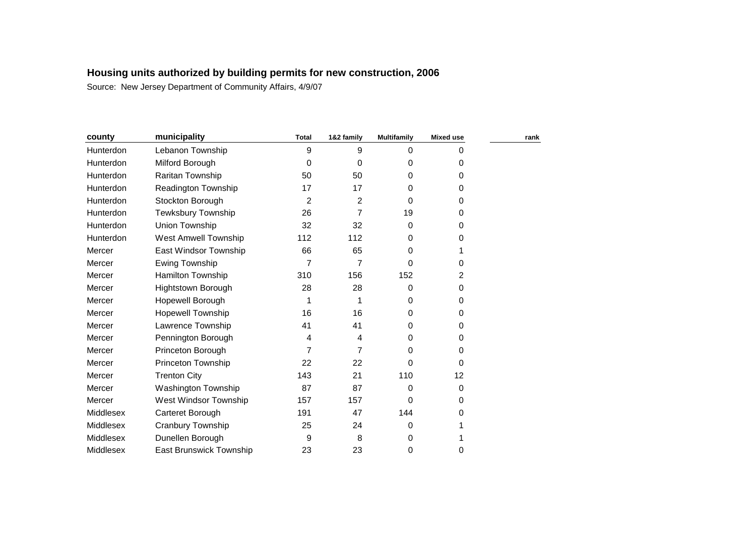| county    | municipality                   | <b>Total</b> | 1&2 family | <b>Multifamily</b> | <b>Mixed use</b> | rank |
|-----------|--------------------------------|--------------|------------|--------------------|------------------|------|
| Hunterdon | Lebanon Township               | 9            | 9          | $\mathbf 0$        | 0                |      |
| Hunterdon | Milford Borough                | 0            | 0          | 0                  | 0                |      |
| Hunterdon | Raritan Township               | 50           | 50         | 0                  | 0                |      |
| Hunterdon | <b>Readington Township</b>     | 17           | 17         | 0                  | 0                |      |
| Hunterdon | Stockton Borough               | 2            | 2          | $\Omega$           | 0                |      |
| Hunterdon | Tewksbury Township             | 26           | 7          | 19                 | 0                |      |
| Hunterdon | Union Township                 | 32           | 32         | 0                  | 0                |      |
| Hunterdon | <b>West Amwell Township</b>    | 112          | 112        | 0                  | 0                |      |
| Mercer    | East Windsor Township          | 66           | 65         | 0                  | 1                |      |
| Mercer    | Ewing Township                 | 7            | 7          | 0                  | 0                |      |
| Mercer    | Hamilton Township              | 310          | 156        | 152                | 2                |      |
| Mercer    | <b>Hightstown Borough</b>      | 28           | 28         | 0                  | 0                |      |
| Mercer    | Hopewell Borough               | 1            | 1          | 0                  | 0                |      |
| Mercer    | Hopewell Township              | 16           | 16         | 0                  | 0                |      |
| Mercer    | Lawrence Township              | 41           | 41         | 0                  | 0                |      |
| Mercer    | Pennington Borough             | 4            | 4          | $\Omega$           | 0                |      |
| Mercer    | Princeton Borough              | 7            | 7          | 0                  | 0                |      |
| Mercer    | Princeton Township             | 22           | 22         | 0                  | 0                |      |
| Mercer    | <b>Trenton City</b>            | 143          | 21         | 110                | 12               |      |
| Mercer    | Washington Township            | 87           | 87         | 0                  | 0                |      |
| Mercer    | West Windsor Township          | 157          | 157        | 0                  | 0                |      |
| Middlesex | Carteret Borough               | 191          | 47         | 144                | 0                |      |
| Middlesex | Cranbury Township              | 25           | 24         | 0                  |                  |      |
| Middlesex | Dunellen Borough               | 9            | 8          | 0                  | 1                |      |
| Middlesex | <b>East Brunswick Township</b> | 23           | 23         | 0                  | 0                |      |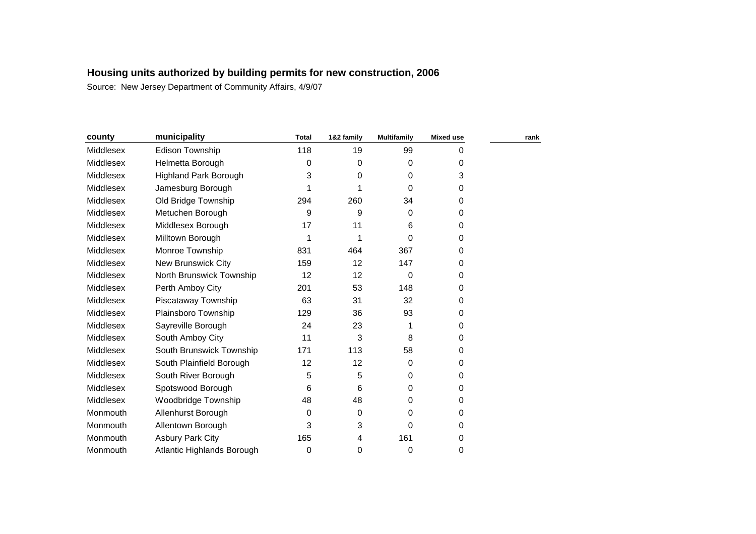| county    | municipality                 | <b>Total</b> | 1&2 family | <b>Multifamily</b> | <b>Mixed use</b> | rank |
|-----------|------------------------------|--------------|------------|--------------------|------------------|------|
| Middlesex | Edison Township              | 118          | 19         | 99                 | $\Omega$         |      |
| Middlesex | Helmetta Borough             | 0            | 0          | 0                  | 0                |      |
| Middlesex | <b>Highland Park Borough</b> | 3            | 0          | 0                  | 3                |      |
| Middlesex | Jamesburg Borough            | 1            |            | $\Omega$           | 0                |      |
| Middlesex | Old Bridge Township          | 294          | 260        | 34                 | 0                |      |
| Middlesex | Metuchen Borough             | 9            | 9          | 0                  | 0                |      |
| Middlesex | Middlesex Borough            | 17           | 11         | 6                  | 0                |      |
| Middlesex | Milltown Borough             |              |            | 0                  | 0                |      |
| Middlesex | Monroe Township              | 831          | 464        | 367                | 0                |      |
| Middlesex | <b>New Brunswick City</b>    | 159          | 12         | 147                | 0                |      |
| Middlesex | North Brunswick Township     | 12           | 12         | 0                  | 0                |      |
| Middlesex | Perth Amboy City             | 201          | 53         | 148                | 0                |      |
| Middlesex | Piscataway Township          | 63           | 31         | 32                 | 0                |      |
| Middlesex | Plainsboro Township          | 129          | 36         | 93                 | 0                |      |
| Middlesex | Sayreville Borough           | 24           | 23         | 1                  | 0                |      |
| Middlesex | South Amboy City             | 11           | 3          | 8                  | 0                |      |
| Middlesex | South Brunswick Township     | 171          | 113        | 58                 | 0                |      |
| Middlesex | South Plainfield Borough     | 12           | 12         | 0                  | 0                |      |
| Middlesex | South River Borough          | 5            | 5          | 0                  | 0                |      |
| Middlesex | Spotswood Borough            | 6            | 6          | 0                  | 0                |      |
| Middlesex | Woodbridge Township          | 48           | 48         | 0                  | 0                |      |
| Monmouth  | Allenhurst Borough           | 0            | 0          | 0                  | 0                |      |
| Monmouth  | Allentown Borough            | 3            | 3          | 0                  | 0                |      |
| Monmouth  | <b>Asbury Park City</b>      | 165          | 4          | 161                | 0                |      |
| Monmouth  | Atlantic Highlands Borough   | 0            | 0          | 0                  | 0                |      |
|           |                              |              |            |                    |                  |      |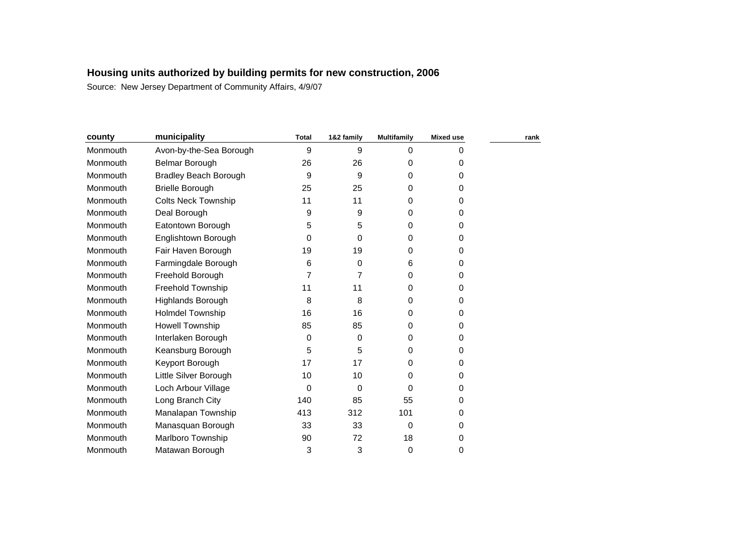| county   | municipality                 | <b>Total</b> | 1&2 family | <b>Multifamily</b> | Mixed use | rank |
|----------|------------------------------|--------------|------------|--------------------|-----------|------|
| Monmouth | Avon-by-the-Sea Borough      | 9            | 9          | $\Omega$           | 0         |      |
| Monmouth | Belmar Borough               | 26           | 26         | 0                  | 0         |      |
| Monmouth | <b>Bradley Beach Borough</b> | 9            | 9          | 0                  | 0         |      |
| Monmouth | <b>Brielle Borough</b>       | 25           | 25         | 0                  | 0         |      |
| Monmouth | <b>Colts Neck Township</b>   | 11           | 11         | 0                  | 0         |      |
| Monmouth | Deal Borough                 | 9            | 9          | 0                  | 0         |      |
| Monmouth | Eatontown Borough            | 5            | 5          | 0                  | 0         |      |
| Monmouth | Englishtown Borough          | $\Omega$     | 0          | 0                  | 0         |      |
| Monmouth | Fair Haven Borough           | 19           | 19         | 0                  | 0         |      |
| Monmouth | Farmingdale Borough          | 6            | 0          | 6                  | 0         |      |
| Monmouth | Freehold Borough             | 7            | 7          | 0                  | 0         |      |
| Monmouth | <b>Freehold Township</b>     | 11           | 11         | 0                  | 0         |      |
| Monmouth | Highlands Borough            | 8            | 8          | 0                  | 0         |      |
| Monmouth | Holmdel Township             | 16           | 16         | 0                  | 0         |      |
| Monmouth | Howell Township              | 85           | 85         | 0                  | 0         |      |
| Monmouth | Interlaken Borough           | 0            | 0          | 0                  | 0         |      |
| Monmouth | Keansburg Borough            | 5            | 5          | 0                  | 0         |      |
| Monmouth | Keyport Borough              | 17           | 17         | 0                  | 0         |      |
| Monmouth | Little Silver Borough        | 10           | 10         | 0                  | 0         |      |
| Monmouth | Loch Arbour Village          | 0            | 0          | $\Omega$           | 0         |      |
| Monmouth | Long Branch City             | 140          | 85         | 55                 | 0         |      |
| Monmouth | Manalapan Township           | 413          | 312        | 101                | 0         |      |
| Monmouth | Manasquan Borough            | 33           | 33         | 0                  | 0         |      |
| Monmouth | <b>Marlboro Township</b>     | 90           | 72         | 18                 | 0         |      |
| Monmouth | Matawan Borough              | 3            | 3          | 0                  | 0         |      |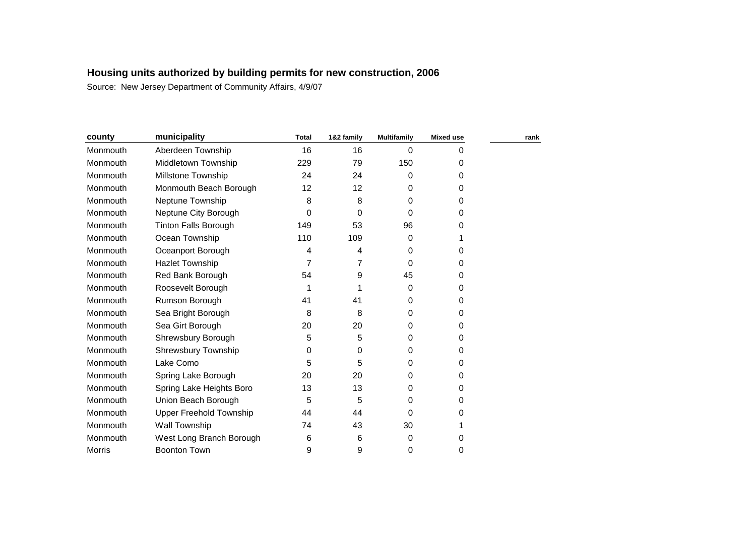| county        | municipality                   | <b>Total</b> | 1&2 family | <b>Multifamily</b> | <b>Mixed use</b> | rank |
|---------------|--------------------------------|--------------|------------|--------------------|------------------|------|
| Monmouth      | Aberdeen Township              | 16           | 16         | 0                  | 0                |      |
| Monmouth      | Middletown Township            | 229          | 79         | 150                | 0                |      |
| Monmouth      | <b>Millstone Township</b>      | 24           | 24         | 0                  | 0                |      |
| Monmouth      | Monmouth Beach Borough         | 12           | 12         | 0                  | 0                |      |
| Monmouth      | Neptune Township               | 8            | 8          | 0                  | 0                |      |
| Monmouth      | Neptune City Borough           | 0            | 0          | 0                  | 0                |      |
| Monmouth      | <b>Tinton Falls Borough</b>    | 149          | 53         | 96                 | 0                |      |
| Monmouth      | Ocean Township                 | 110          | 109        | 0                  | 1                |      |
| Monmouth      | Oceanport Borough              | 4            | 4          | 0                  | 0                |      |
| Monmouth      | <b>Hazlet Township</b>         |              | 7          | 0                  | 0                |      |
| Monmouth      | Red Bank Borough               | 54           | 9          | 45                 | 0                |      |
| Monmouth      | Roosevelt Borough              |              |            | 0                  | 0                |      |
| Monmouth      | Rumson Borough                 | 41           | 41         | 0                  | 0                |      |
| Monmouth      | Sea Bright Borough             | 8            | 8          | 0                  | 0                |      |
| Monmouth      | Sea Girt Borough               | 20           | 20         | 0                  | 0                |      |
| Monmouth      | Shrewsbury Borough             | 5            | 5          | 0                  | 0                |      |
| Monmouth      | <b>Shrewsbury Township</b>     | 0            | 0          | 0                  | 0                |      |
| Monmouth      | Lake Como                      | 5            | 5          | 0                  | 0                |      |
| Monmouth      | Spring Lake Borough            | 20           | 20         | 0                  | 0                |      |
| Monmouth      | Spring Lake Heights Boro       | 13           | 13         | 0                  | 0                |      |
| Monmouth      | Union Beach Borough            | 5            | 5          | 0                  | 0                |      |
| Monmouth      | <b>Upper Freehold Township</b> | 44           | 44         | 0                  | 0                |      |
| Monmouth      | Wall Township                  | 74           | 43         | 30                 |                  |      |
| Monmouth      | West Long Branch Borough       | 6            | 6          | 0                  | 0                |      |
| <b>Morris</b> | <b>Boonton Town</b>            | 9            | 9          | 0                  | 0                |      |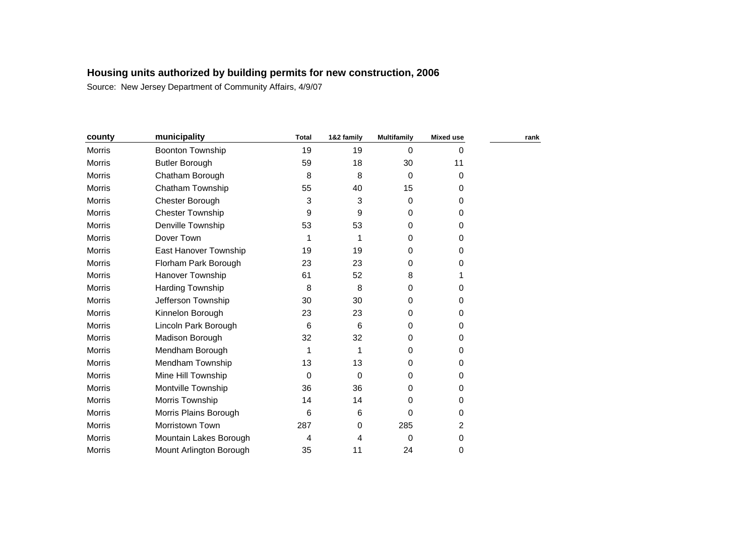| county        | municipality            | <b>Total</b> | 1&2 family | <b>Multifamily</b> | <b>Mixed use</b> | rank |
|---------------|-------------------------|--------------|------------|--------------------|------------------|------|
| Morris        | Boonton Township        | 19           | 19         | $\Omega$           | $\Omega$         |      |
| Morris        | <b>Butler Borough</b>   | 59           | 18         | 30                 | 11               |      |
| Morris        | Chatham Borough         | 8            | 8          | $\Omega$           | $\mathbf 0$      |      |
| <b>Morris</b> | <b>Chatham Township</b> | 55           | 40         | 15                 | 0                |      |
| <b>Morris</b> | Chester Borough         | 3            | 3          | 0                  | 0                |      |
| <b>Morris</b> | <b>Chester Township</b> | 9            | 9          | 0                  | 0                |      |
| <b>Morris</b> | Denville Township       | 53           | 53         | 0                  | $\Omega$         |      |
| <b>Morris</b> | Dover Town              | 1            | 1          | 0                  | 0                |      |
| Morris        | East Hanover Township   | 19           | 19         | 0                  | 0                |      |
| <b>Morris</b> | Florham Park Borough    | 23           | 23         | 0                  | 0                |      |
| <b>Morris</b> | Hanover Township        | 61           | 52         | 8                  |                  |      |
| Morris        | Harding Township        | 8            | 8          | 0                  | 0                |      |
| Morris        | Jefferson Township      | 30           | 30         | 0                  | 0                |      |
| Morris        | Kinnelon Borough        | 23           | 23         | 0                  | 0                |      |
| Morris        | Lincoln Park Borough    | 6            | 6          | 0                  | 0                |      |
| <b>Morris</b> | Madison Borough         | 32           | 32         | 0                  | 0                |      |
| <b>Morris</b> | Mendham Borough         | 1            | 1          | 0                  | 0                |      |
| Morris        | Mendham Township        | 13           | 13         | 0                  | $\Omega$         |      |
| <b>Morris</b> | Mine Hill Township      | 0            | $\Omega$   | 0                  | 0                |      |
| <b>Morris</b> | Montville Township      | 36           | 36         | 0                  | 0                |      |
| Morris        | Morris Township         | 14           | 14         | 0                  | 0                |      |
| <b>Morris</b> | Morris Plains Borough   | 6            | 6          | 0                  | $\mathbf 0$      |      |
| Morris        | Morristown Town         | 287          | 0          | 285                | 2                |      |
| <b>Morris</b> | Mountain Lakes Borough  | 4            | 4          | $\Omega$           | 0                |      |
| Morris        | Mount Arlington Borough | 35           | 11         | 24                 | 0                |      |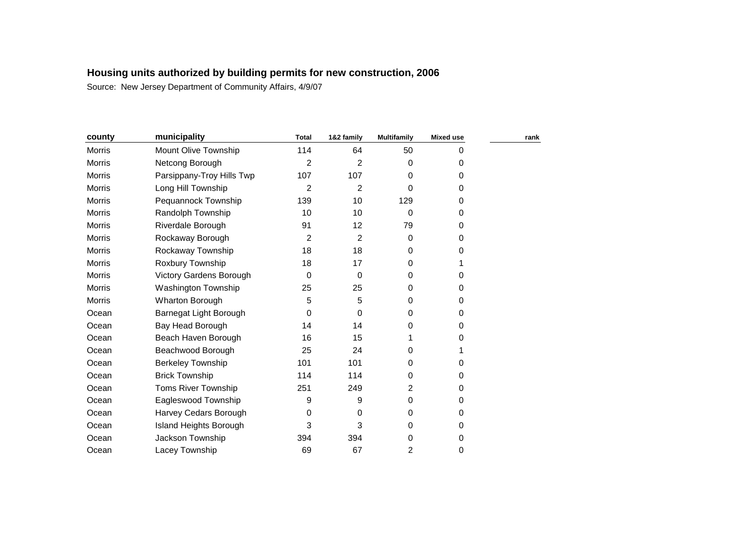| county        | municipality              | <b>Total</b>   | 1&2 family     | <b>Multifamily</b> | <b>Mixed use</b> | rank |
|---------------|---------------------------|----------------|----------------|--------------------|------------------|------|
| Morris        | Mount Olive Township      | 114            | 64             | 50                 | 0                |      |
| Morris        | Netcong Borough           | $\overline{2}$ | $\overline{2}$ | 0                  | 0                |      |
| Morris        | Parsippany-Troy Hills Twp | 107            | 107            | 0                  | 0                |      |
| Morris        | Long Hill Township        | 2              | $\overline{2}$ | 0                  | 0                |      |
| Morris        | Pequannock Township       | 139            | 10             | 129                | 0                |      |
| Morris        | Randolph Township         | 10             | 10             | $\mathbf 0$        | 0                |      |
| Morris        | Riverdale Borough         | 91             | 12             | 79                 | 0                |      |
| Morris        | Rockaway Borough          | 2              | $\overline{2}$ | 0                  | 0                |      |
| Morris        | Rockaway Township         | 18             | 18             | 0                  | 0                |      |
| <b>Morris</b> | Roxbury Township          | 18             | 17             | 0                  |                  |      |
| Morris        | Victory Gardens Borough   | $\Omega$       | $\mathbf 0$    | 0                  | 0                |      |
| <b>Morris</b> | Washington Township       | 25             | 25             | 0                  | 0                |      |
| <b>Morris</b> | Wharton Borough           | 5              | 5              | 0                  | 0                |      |
| Ocean         | Barnegat Light Borough    | 0              | 0              | 0                  | 0                |      |
| Ocean         | Bay Head Borough          | 14             | 14             | 0                  | 0                |      |
| Ocean         | Beach Haven Borough       | 16             | 15             |                    | 0                |      |
| Ocean         | Beachwood Borough         | 25             | 24             | 0                  |                  |      |
| Ocean         | <b>Berkeley Township</b>  | 101            | 101            | 0                  | 0                |      |
| Ocean         | <b>Brick Township</b>     | 114            | 114            | 0                  | 0                |      |
| Ocean         | Toms River Township       | 251            | 249            | 2                  | 0                |      |
| Ocean         | Eagleswood Township       | 9              | 9              | 0                  | 0                |      |
| Ocean         | Harvey Cedars Borough     | 0              | 0              | 0                  | 0                |      |
| Ocean         | Island Heights Borough    | 3              | 3              | 0                  | 0                |      |
| Ocean         | Jackson Township          | 394            | 394            | 0                  | 0                |      |
| Ocean         | Lacey Township            | 69             | 67             | 2                  | 0                |      |
|               |                           |                |                |                    |                  |      |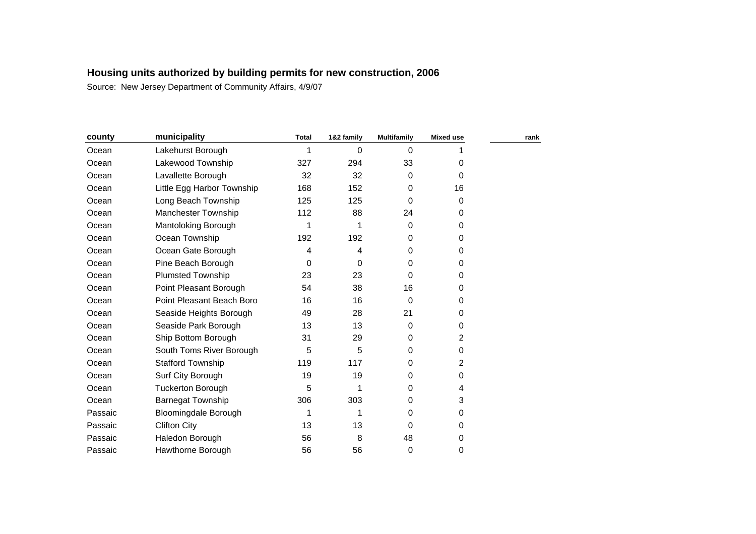| county  | municipality                | <b>Total</b> | 1&2 family | <b>Multifamily</b> | <b>Mixed use</b> | rank |
|---------|-----------------------------|--------------|------------|--------------------|------------------|------|
| Ocean   | Lakehurst Borough           |              | 0          | 0                  |                  |      |
| Ocean   | Lakewood Township           | 327          | 294        | 33                 | 0                |      |
| Ocean   | Lavallette Borough          | 32           | 32         | 0                  | 0                |      |
| Ocean   | Little Egg Harbor Township  | 168          | 152        | 0                  | 16               |      |
| Ocean   | Long Beach Township         | 125          | 125        | 0                  | 0                |      |
| Ocean   | <b>Manchester Township</b>  | 112          | 88         | 24                 | 0                |      |
| Ocean   | Mantoloking Borough         | 1            | 1          | 0                  | 0                |      |
| Ocean   | Ocean Township              | 192          | 192        | 0                  | 0                |      |
| Ocean   | Ocean Gate Borough          | 4            | 4          | 0                  | 0                |      |
| Ocean   | Pine Beach Borough          | 0            | 0          | 0                  | 0                |      |
| Ocean   | <b>Plumsted Township</b>    | 23           | 23         | 0                  | 0                |      |
| Ocean   | Point Pleasant Borough      | 54           | 38         | 16                 | 0                |      |
| Ocean   | Point Pleasant Beach Boro   | 16           | 16         | 0                  | 0                |      |
| Ocean   | Seaside Heights Borough     | 49           | 28         | 21                 | 0                |      |
| Ocean   | Seaside Park Borough        | 13           | 13         | 0                  | 0                |      |
| Ocean   | Ship Bottom Borough         | 31           | 29         | 0                  | 2                |      |
| Ocean   | South Toms River Borough    | 5            | 5          | 0                  | 0                |      |
| Ocean   | <b>Stafford Township</b>    | 119          | 117        | 0                  | 2                |      |
| Ocean   | Surf City Borough           | 19           | 19         | 0                  | 0                |      |
| Ocean   | <b>Tuckerton Borough</b>    | 5            |            | 0                  | 4                |      |
| Ocean   | Barnegat Township           | 306          | 303        | 0                  | 3                |      |
| Passaic | <b>Bloomingdale Borough</b> | 1            | 1          | 0                  | 0                |      |
| Passaic | <b>Clifton City</b>         | 13           | 13         | 0                  | 0                |      |
| Passaic | Haledon Borough             | 56           | 8          | 48                 | 0                |      |
| Passaic | Hawthorne Borough           | 56           | 56         | 0                  | 0                |      |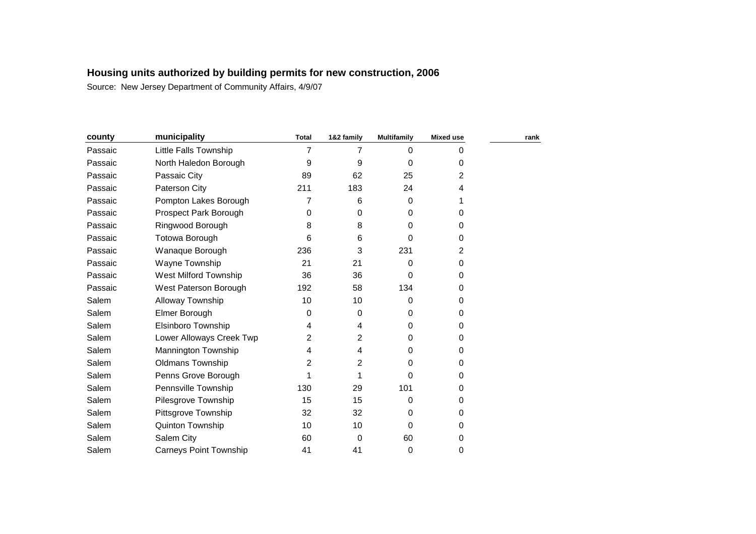| county  | municipality                  | <b>Total</b>   | 1&2 family     | <b>Multifamily</b> | <b>Mixed use</b> | rank |
|---------|-------------------------------|----------------|----------------|--------------------|------------------|------|
| Passaic | Little Falls Township         | $\overline{7}$ | 7              | 0                  | 0                |      |
| Passaic | North Haledon Borough         | 9              | 9              | 0                  | 0                |      |
| Passaic | Passaic City                  | 89             | 62             | 25                 | 2                |      |
| Passaic | Paterson City                 | 211            | 183            | 24                 | 4                |      |
| Passaic | Pompton Lakes Borough         | 7              | 6              | $\Omega$           |                  |      |
| Passaic | Prospect Park Borough         | 0              | 0              | 0                  | 0                |      |
| Passaic | Ringwood Borough              | 8              | 8              | 0                  | 0                |      |
| Passaic | <b>Totowa Borough</b>         | 6              | 6              | 0                  | 0                |      |
| Passaic | Wanaque Borough               | 236            | 3              | 231                | 2                |      |
| Passaic | Wayne Township                | 21             | 21             | 0                  | 0                |      |
| Passaic | <b>West Milford Township</b>  | 36             | 36             | 0                  | 0                |      |
| Passaic | West Paterson Borough         | 192            | 58             | 134                | 0                |      |
| Salem   | Alloway Township              | 10             | 10             | 0                  | 0                |      |
| Salem   | Elmer Borough                 | 0              | 0              | 0                  | 0                |      |
| Salem   | Elsinboro Township            | 4              | 4              | 0                  | 0                |      |
| Salem   | Lower Alloways Creek Twp      | 2              | 2              | 0                  | 0                |      |
| Salem   | Mannington Township           | 4              | 4              | 0                  | 0                |      |
| Salem   | Oldmans Township              | 2              | $\overline{2}$ | 0                  | 0                |      |
| Salem   | Penns Grove Borough           |                |                | 0                  | 0                |      |
| Salem   | Pennsville Township           | 130            | 29             | 101                | 0                |      |
| Salem   | Pilesgrove Township           | 15             | 15             | 0                  | 0                |      |
| Salem   | Pittsgrove Township           | 32             | 32             | 0                  | 0                |      |
| Salem   | Quinton Township              | 10             | 10             | 0                  | 0                |      |
| Salem   | Salem City                    | 60             | 0              | 60                 | 0                |      |
| Salem   | <b>Carneys Point Township</b> | 41             | 41             | 0                  | 0                |      |
|         |                               |                |                |                    |                  |      |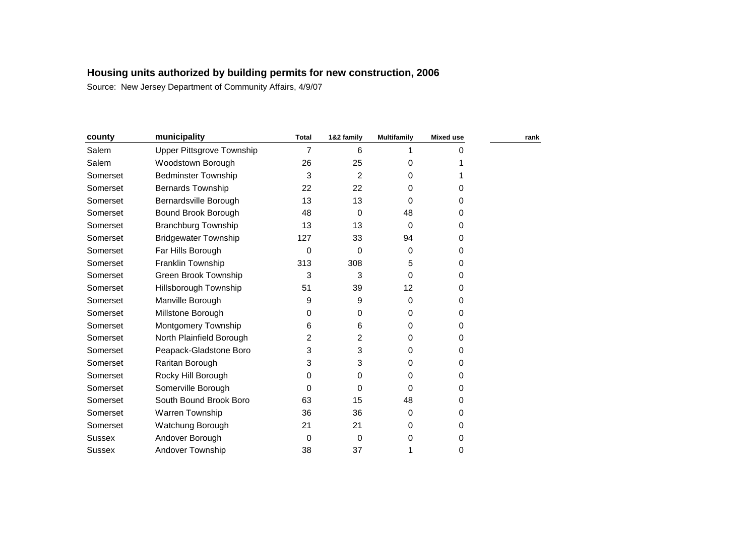| county        | municipality                | <b>Total</b> | 1&2 family | <b>Multifamily</b> | Mixed use | rank |
|---------------|-----------------------------|--------------|------------|--------------------|-----------|------|
| Salem         | Upper Pittsgrove Township   | 7            | 6          |                    | 0         |      |
| Salem         | Woodstown Borough           | 26           | 25         | 0                  |           |      |
| Somerset      | <b>Bedminster Township</b>  | 3            | 2          | 0                  |           |      |
| Somerset      | <b>Bernards Township</b>    | 22           | 22         | 0                  | 0         |      |
| Somerset      | Bernardsville Borough       | 13           | 13         | 0                  | 0         |      |
| Somerset      | Bound Brook Borough         | 48           | 0          | 48                 | $\Omega$  |      |
| Somerset      | <b>Branchburg Township</b>  | 13           | 13         | $\Omega$           | 0         |      |
| Somerset      | <b>Bridgewater Township</b> | 127          | 33         | 94                 | 0         |      |
| Somerset      | Far Hills Borough           | $\Omega$     | 0          | $\Omega$           | 0         |      |
| Somerset      | Franklin Township           | 313          | 308        | 5                  | 0         |      |
| Somerset      | Green Brook Township        | 3            | 3          | $\Omega$           | $\Omega$  |      |
| Somerset      | Hillsborough Township       | 51           | 39         | 12                 | 0         |      |
| Somerset      | Manville Borough            | 9            | 9          | $\Omega$           | $\Omega$  |      |
| Somerset      | Millstone Borough           | 0            | 0          | 0                  | 0         |      |
| Somerset      | Montgomery Township         | 6            | 6          | 0                  | $\Omega$  |      |
| Somerset      | North Plainfield Borough    | 2            | 2          | $\Omega$           | $\Omega$  |      |
| Somerset      | Peapack-Gladstone Boro      | 3            | 3          | 0                  | $\Omega$  |      |
| Somerset      | Raritan Borough             | 3            | 3          | 0                  | 0         |      |
| Somerset      | Rocky Hill Borough          | 0            | 0          | 0                  | 0         |      |
| Somerset      | Somerville Borough          | 0            | 0          | 0                  | 0         |      |
| Somerset      | South Bound Brook Boro      | 63           | 15         | 48                 | 0         |      |
| Somerset      | Warren Township             | 36           | 36         | $\Omega$           | $\Omega$  |      |
| Somerset      | Watchung Borough            | 21           | 21         | 0                  | 0         |      |
| <b>Sussex</b> | Andover Borough             | 0            | 0          | 0                  | 0         |      |
| Sussex        | Andover Township            | 38           | 37         | 1                  | 0         |      |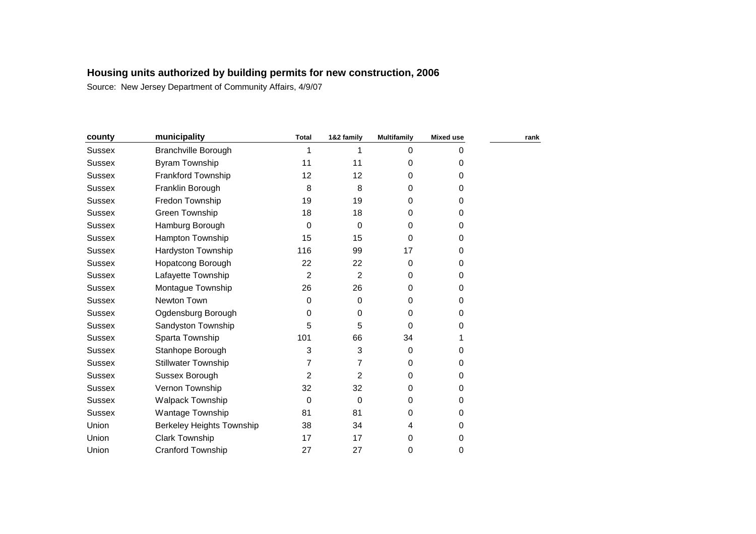| county        | municipality                     | <b>Total</b>   | 1&2 family     | <b>Multifamily</b> | <b>Mixed use</b> | rank |
|---------------|----------------------------------|----------------|----------------|--------------------|------------------|------|
| <b>Sussex</b> | <b>Branchville Borough</b>       |                | 1              | 0                  | 0                |      |
| <b>Sussex</b> | <b>Byram Township</b>            | 11             | 11             | 0                  | 0                |      |
| <b>Sussex</b> | Frankford Township               | 12             | 12             | 0                  | 0                |      |
| <b>Sussex</b> | Franklin Borough                 | 8              | 8              | 0                  | 0                |      |
| <b>Sussex</b> | Fredon Township                  | 19             | 19             | 0                  | 0                |      |
| <b>Sussex</b> | Green Township                   | 18             | 18             | 0                  | 0                |      |
| <b>Sussex</b> | Hamburg Borough                  | $\Omega$       | 0              | 0                  | 0                |      |
| Sussex        | Hampton Township                 | 15             | 15             | 0                  | 0                |      |
| <b>Sussex</b> | Hardyston Township               | 116            | 99             | 17                 | 0                |      |
| Sussex        | Hopatcong Borough                | 22             | 22             | 0                  | 0                |      |
| <b>Sussex</b> | Lafayette Township               | $\overline{2}$ | $\overline{2}$ | 0                  | 0                |      |
| <b>Sussex</b> | Montague Township                | 26             | 26             | 0                  | 0                |      |
| <b>Sussex</b> | Newton Town                      | 0              | 0              | 0                  | 0                |      |
| <b>Sussex</b> | Ogdensburg Borough               | 0              | 0              | 0                  | 0                |      |
| <b>Sussex</b> | Sandyston Township               | 5              | 5              | $\Omega$           | 0                |      |
| <b>Sussex</b> | Sparta Township                  | 101            | 66             | 34                 |                  |      |
| <b>Sussex</b> | Stanhope Borough                 | 3              | 3              | $\mathbf 0$        | 0                |      |
| <b>Sussex</b> | <b>Stillwater Township</b>       | 7              | 7              | 0                  | 0                |      |
| <b>Sussex</b> | Sussex Borough                   | 2              | 2              | 0                  | 0                |      |
| <b>Sussex</b> | Vernon Township                  | 32             | 32             | 0                  | 0                |      |
| Sussex        | <b>Walpack Township</b>          | 0              | 0              | 0                  | 0                |      |
| <b>Sussex</b> | Wantage Township                 | 81             | 81             | 0                  | 0                |      |
| Union         | <b>Berkeley Heights Township</b> | 38             | 34             | 4                  | 0                |      |
| Union         | <b>Clark Township</b>            | 17             | 17             | 0                  | 0                |      |
| Union         | <b>Cranford Township</b>         | 27             | 27             | 0                  | 0                |      |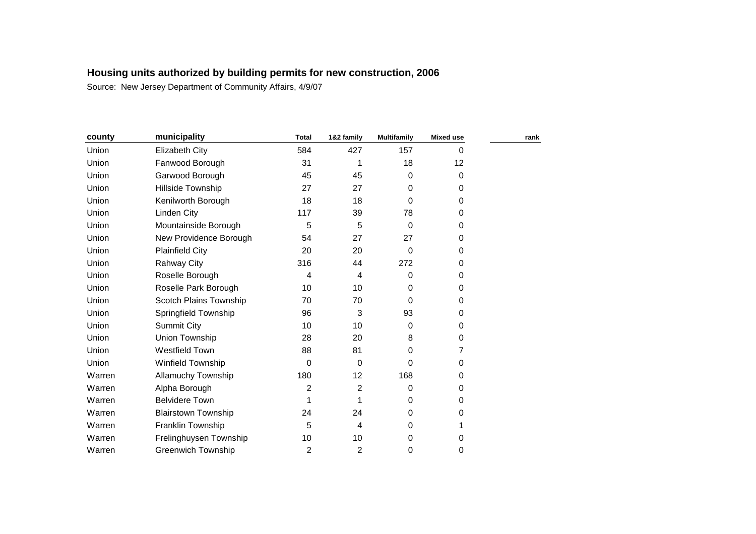| county | municipality               | <b>Total</b>   | 1&2 family              | <b>Multifamily</b> | <b>Mixed use</b> | rank |
|--------|----------------------------|----------------|-------------------------|--------------------|------------------|------|
| Union  | Elizabeth City             | 584            | 427                     | 157                | 0                |      |
| Union  | Fanwood Borough            | 31             | 1                       | 18                 | 12               |      |
| Union  | Garwood Borough            | 45             | 45                      | $\mathbf 0$        | 0                |      |
| Union  | Hillside Township          | 27             | 27                      | $\mathbf 0$        | 0                |      |
| Union  | Kenilworth Borough         | 18             | 18                      | 0                  | 0                |      |
| Union  | <b>Linden City</b>         | 117            | 39                      | 78                 | $\Omega$         |      |
| Union  | Mountainside Borough       | 5              | 5                       | $\Omega$           | 0                |      |
| Union  | New Providence Borough     | 54             | 27                      | 27                 | 0                |      |
| Union  | <b>Plainfield City</b>     | 20             | 20                      | 0                  | 0                |      |
| Union  | <b>Rahway City</b>         | 316            | 44                      | 272                | 0                |      |
| Union  | Roselle Borough            | 4              | $\overline{\mathbf{4}}$ | 0                  | 0                |      |
| Union  | Roselle Park Borough       | 10             | 10                      | 0                  | 0                |      |
| Union  | Scotch Plains Township     | 70             | 70                      | $\Omega$           | 0                |      |
| Union  | Springfield Township       | 96             | 3                       | 93                 | 0                |      |
| Union  | <b>Summit City</b>         | 10             | 10                      | $\mathbf 0$        | $\Omega$         |      |
| Union  | Union Township             | 28             | 20                      | 8                  | 0                |      |
| Union  | Westfield Town             | 88             | 81                      | 0                  | 7                |      |
| Union  | Winfield Township          | 0              | 0                       | 0                  | 0                |      |
| Warren | Allamuchy Township         | 180            | 12                      | 168                | 0                |      |
| Warren | Alpha Borough              | 2              | 2                       | 0                  | 0                |      |
| Warren | <b>Belvidere Town</b>      |                | 1                       | 0                  | 0                |      |
| Warren | <b>Blairstown Township</b> | 24             | 24                      | $\Omega$           | 0                |      |
| Warren | Franklin Township          | 5              | 4                       | 0                  | 1                |      |
| Warren | Frelinghuysen Township     | 10             | 10                      | 0                  | 0                |      |
| Warren | <b>Greenwich Township</b>  | $\overline{c}$ | $\overline{c}$          | 0                  | 0                |      |